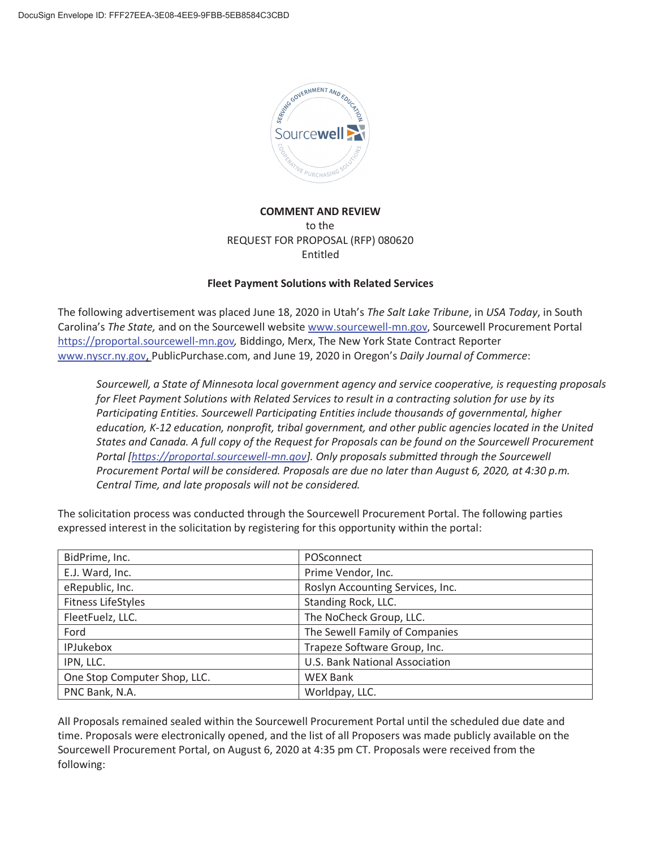

# **COMMENT AND REVIEW**  to the REQUEST FOR PROPOSAL (RFP) 080620 Entitled

## **Fleet Payment Solutions with Related Services**

The following advertisement was placed June 18, 2020 in Utah's *The Salt Lake Tribune*, in *USA Today*, in South Carolina's *The State,* and on the Sourcewell website www.sourcewell-mn.gov, Sourcewell Procurement Portal https://proportal.sourcewell-mn.gov*,* Biddingo, Merx, The New York State Contract Reporter www.nyscr.ny.gov, PublicPurchase.com, and June 19, 2020 in Oregon's *Daily Journal of Commerce*:

*Sourcewell, a State of Minnesota local government agency and service cooperative, is requesting proposals for Fleet Payment Solutions with Related Services to result in a contracting solution for use by its Participating Entities. Sourcewell Participating Entities include thousands of governmental, higher education, K-12 education, nonprofit, tribal government, and other public agencies located in the United States and Canada. A full copy of the Request for Proposals can be found on the Sourcewell Procurement Portal [https://proportal.sourcewell-mn.gov]. Only proposals submitted through the Sourcewell Procurement Portal will be considered. Proposals are due no later than August 6, 2020, at 4:30 p.m. Central Time, and late proposals will not be considered.* 

| BidPrime, Inc.               | POSconnect                       |
|------------------------------|----------------------------------|
| E.J. Ward, Inc.              | Prime Vendor, Inc.               |
| eRepublic, Inc.              | Roslyn Accounting Services, Inc. |
| <b>Fitness LifeStyles</b>    | Standing Rock, LLC.              |
| FleetFuelz, LLC.             | The NoCheck Group, LLC.          |
| Ford                         | The Sewell Family of Companies   |
| <b>IPJukebox</b>             | Trapeze Software Group, Inc.     |
| IPN, LLC.                    | U.S. Bank National Association   |
| One Stop Computer Shop, LLC. | <b>WEX Bank</b>                  |
| PNC Bank, N.A.               | Worldpay, LLC.                   |

The solicitation process was conducted through the Sourcewell Procurement Portal. The following parties expressed interest in the solicitation by registering for this opportunity within the portal:

All Proposals remained sealed within the Sourcewell Procurement Portal until the scheduled due date and time. Proposals were electronically opened, and the list of all Proposers was made publicly available on the Sourcewell Procurement Portal, on August 6, 2020 at 4:35 pm CT. Proposals were received from the following: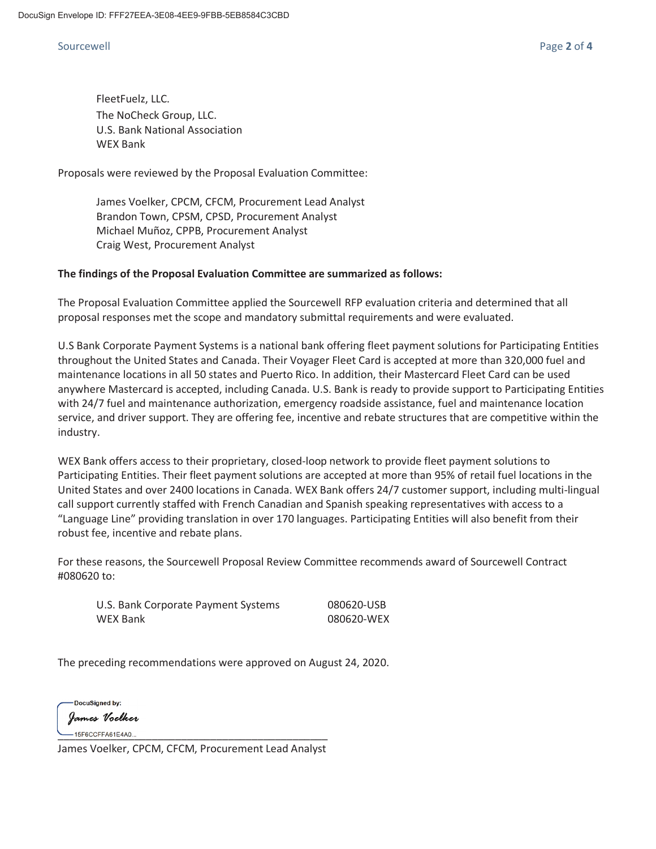## Sourcewell Page **2** of **4**

FleetFuelz, LLC. The NoCheck Group, LLC. U.S. Bank National Association WEX Bank

Proposals were reviewed by the Proposal Evaluation Committee:

James Voelker, CPCM, CFCM, Procurement Lead Analyst Brandon Town, CPSM, CPSD, Procurement Analyst Michael Muñoz, CPPB, Procurement Analyst Craig West, Procurement Analyst

### **The findings of the Proposal Evaluation Committee are summarized as follows:**

The Proposal Evaluation Committee applied the Sourcewell RFP evaluation criteria and determined that all proposal responses met the scope and mandatory submittal requirements and were evaluated.

U.S Bank Corporate Payment Systems is a national bank offering fleet payment solutions for Participating Entities throughout the United States and Canada. Their Voyager Fleet Card is accepted at more than 320,000 fuel and maintenance locations in all 50 states and Puerto Rico. In addition, their Mastercard Fleet Card can be used anywhere Mastercard is accepted, including Canada. U.S. Bank is ready to provide support to Participating Entities with 24/7 fuel and maintenance authorization, emergency roadside assistance, fuel and maintenance location service, and driver support. They are offering fee, incentive and rebate structures that are competitive within the industry.

WEX Bank offers access to their proprietary, closed-loop network to provide fleet payment solutions to Participating Entities. Their fleet payment solutions are accepted at more than 95% of retail fuel locations in the United States and over 2400 locations in Canada. WEX Bank offers 24/7 customer support, including multi-lingual call support currently staffed with French Canadian and Spanish speaking representatives with access to a "Language Line" providing translation in over 170 languages. Participating Entities will also benefit from their robust fee, incentive and rebate plans.

For these reasons, the Sourcewell Proposal Review Committee recommends award of Sourcewell Contract #080620 to:

U.S. Bank Corporate Payment Systems 080620-USB WEX Bank 080620-WEX

The preceding recommendations were approved on August 24, 2020.

DocuSigned by: James Voelker  $-15F6CCFFA61E4A0...$ 

James Voelker, CPCM, CFCM, Procurement Lead Analyst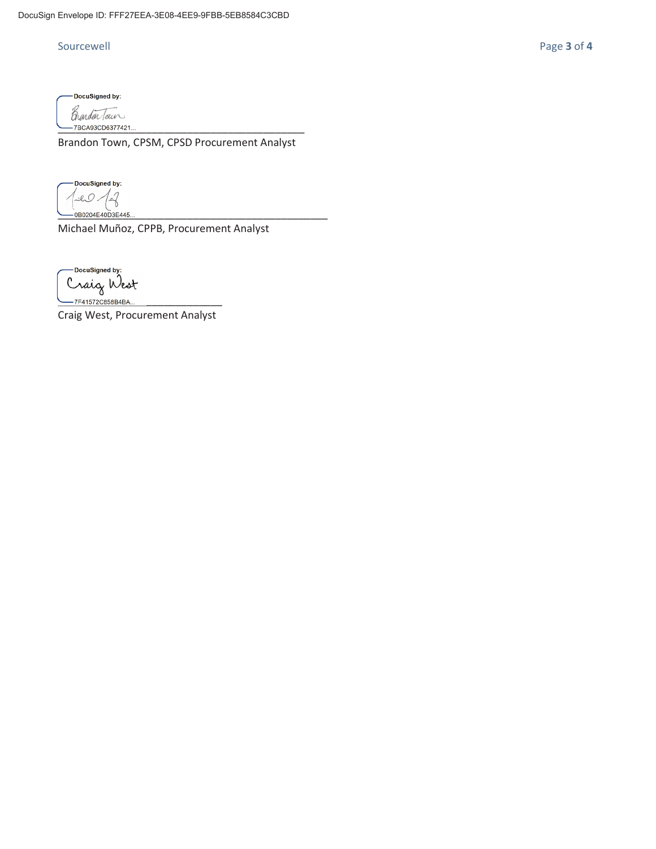DocuSigned by: Brandar Tour -7BCA93CD6377421..

Brandon Town, CPSM, CPSD Procurement Analyst

DocuSigned by:  $10/2$ 0B0204E40D3E445..

Michael Muñoz, CPPB, Procurement Analyst

Docusigned by:<br>Craig West<br>—7F41572C858B4BA...

Craig West, Procurement Analyst